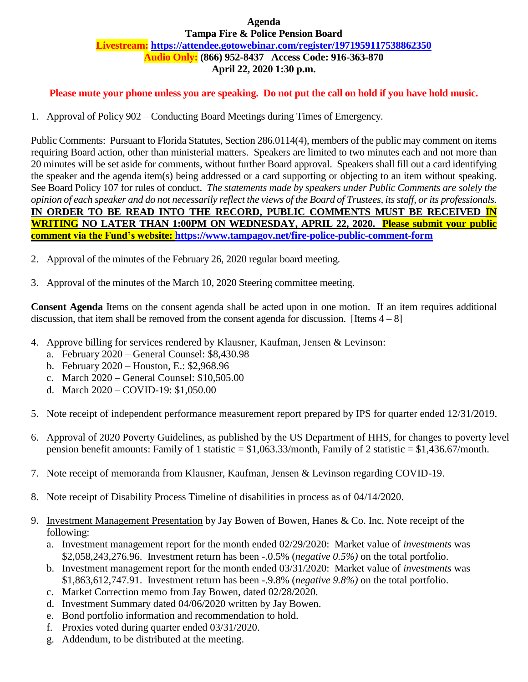# **Audio Only: (866) 952-8437 Access Code: 916-363-870 Agenda Tampa Fire & Police Pension Board Livestream:<https://attendee.gotowebinar.com/register/1971959117538862350> April 22, 2020 1:30 p.m.**

 **Please mute your phone unless you are speaking. Do not put the call on hold if you have hold music.** 

1. Approval of Policy 902 – Conducting Board Meetings during Times of Emergency.

 Public Comments: Pursuant to Florida Statutes, Section 286.0114(4), members of the public may comment on items requiring Board action, other than ministerial matters. Speakers are limited to two minutes each and not more than 20 minutes will be set aside for comments, without further Board approval. Speakers shall fill out a card identifying the speaker and the agenda item(s) being addressed or a card supporting or objecting to an item without speaking. See Board Policy 107 for rules of conduct. *The statements made by speakers under Public Comments are solely the opinion of each speaker and do not necessarily reflect the views of the Board of Trustees, its staff, or its professionals.*   **IN ORDER TO BE READ INTO THE RECORD, PUBLIC COMMENTS MUST BE RECEIVED IN WRITING NO LATER THAN 1:00PM ON WEDNESDAY, APRIL 22, 2020. Please submit your public comment via the Fund's website:<https://www.tampagov.net/fire-police-public-comment-form>**

- 2. Approval of the minutes of the February 26, 2020 regular board meeting.
- 3. Approval of the minutes of the March 10, 2020 Steering committee meeting.

 **Consent Agenda** Items on the consent agenda shall be acted upon in one motion. If an item requires additional discussion, that item shall be removed from the consent agenda for discussion. [Items  $4-8$ ]

- 4. Approve billing for services rendered by Klausner, Kaufman, Jensen & Levinson:
	- a. February 2020 General Counsel: \$8,430.98
	- b. February 2020 Houston, E.: \$2,968.96
	- c. March 2020 General Counsel: \$10,505.00
	- d. March 2020 COVID-19: \$1,050.00
- 5. Note receipt of independent performance measurement report prepared by IPS for quarter ended 12/31/2019.
- 6. Approval of 2020 Poverty Guidelines, as published by the US Department of HHS, for changes to poverty level pension benefit amounts: Family of 1 statistic = \$1,063.33/month, Family of 2 statistic = \$1,436.67/month.
- 7. Note receipt of memoranda from Klausner, Kaufman, Jensen & Levinson regarding COVID-19.
- 8. Note receipt of Disability Process Timeline of disabilities in process as of 04/14/2020.
- 9. Investment Management Presentation by Jay Bowen of Bowen, Hanes & Co. Inc. Note receipt of the following:
	- a. Investment management report for the month ended 02/29/2020: Market value of *investments* was \$2,058,243,276.96. Investment return has been -.0.5% (*negative 0.5%)* on the total portfolio.
	- b. Investment management report for the month ended 03/31/2020: Market value of *investments* was \$1,863,612,747.91. Investment return has been -.9.8% (*negative 9.8%)* on the total portfolio.
	- c. Market Correction memo from Jay Bowen, dated 02/28/2020.
	- d. Investment Summary dated 04/06/2020 written by Jay Bowen.
	- e. Bond portfolio information and recommendation to hold.
	- f. Proxies voted during quarter ended 03/31/2020.
	- g. Addendum, to be distributed at the meeting.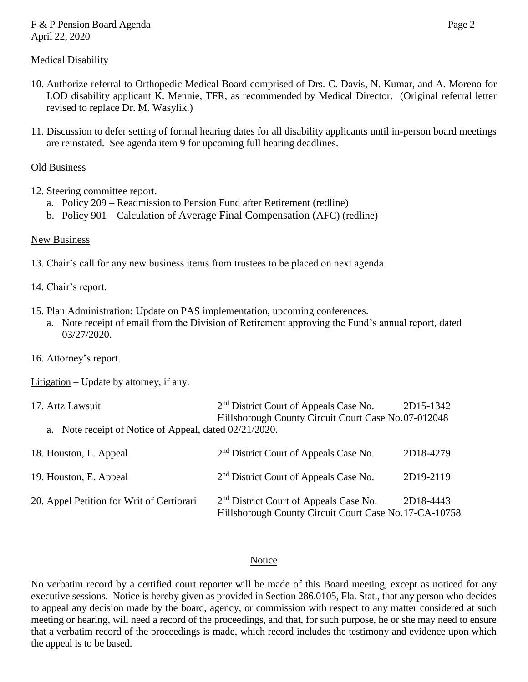- LOD disability applicant K. Mennie, TFR, as recommended by Medical Director. (Original referral letter 10. Authorize referral to Orthopedic Medical Board comprised of Drs. C. Davis, N. Kumar, and A. Moreno for revised to replace Dr. M. Wasylik.)
- 11. Discussion to defer setting of formal hearing dates for all disability applicants until in-person board meetings are reinstated. See agenda item 9 for upcoming full hearing deadlines.

# Old Business

- 12. Steering committee report.
	- a. Policy 209 Readmission to Pension Fund after Retirement (redline)
	- b. Policy 901 Calculation of Average Final Compensation (AFC) (redline)

# New Business

- 13. Chair's call for any new business items from trustees to be placed on next agenda.
- 14. Chair's report.
- 15. Plan Administration: Update on PAS implementation, upcoming conferences.
- a. Note receipt of email from the Division of Retirement approving the Fund's annual report, dated 03/27/2020.
- 16. Attorney's report.

Litigation – Update by attorney, if any.

| 17. Artz Lawsuit                                       | 2 <sup>nd</sup> District Court of Appeals Case No.  | 2D15-1342 |
|--------------------------------------------------------|-----------------------------------------------------|-----------|
|                                                        | Hillsborough County Circuit Court Case No.07-012048 |           |
| a. Note receipt of Notice of Appeal, dated 02/21/2020. |                                                     |           |

| 18. Houston, L. Appeal                    | 2 <sup>nd</sup> District Court of Appeals Case No.                                                           | 2D18-4279 |
|-------------------------------------------|--------------------------------------------------------------------------------------------------------------|-----------|
| 19. Houston, E. Appeal                    | 2 <sup>nd</sup> District Court of Appeals Case No.                                                           | 2D19-2119 |
| 20. Appel Petition for Writ of Certiorari | 2 <sup>nd</sup> District Court of Appeals Case No.<br>Hillsborough County Circuit Court Case No. 17-CA-10758 | 2D18-4443 |

### Notice

 No verbatim record by a certified court reporter will be made of this Board meeting, except as noticed for any executive sessions. Notice is hereby given as provided in Section 286.0105, Fla. Stat., that any person who decides to appeal any decision made by the board, agency, or commission with respect to any matter considered at such that a verbatim record of the proceedings is made, which record includes the testimony and evidence upon which the appeal is to be based. meeting or hearing, will need a record of the proceedings, and that, for such purpose, he or she may need to ensure